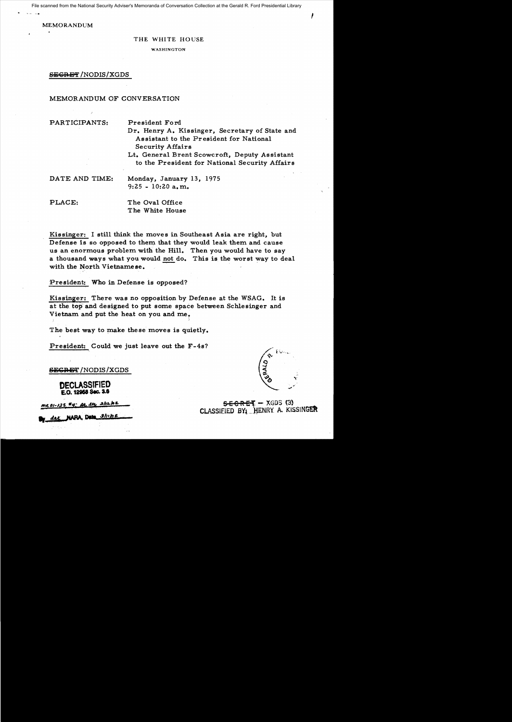File scanned from the National Security Adviser's Memoranda of Conversation Collection at the Gerald R. Ford Presidential Library

MEMORANDUM

#### THE WHITE HOUSE

WASHINGTON

## SEGRET/NODIS/XGDS

## MEMORANDUM OF CONVERSATION

#### PARTICIPANTS: President Ford

Dr. Henry A. Kissinger, Secretary of State and Assistant to the President for National Security Affairs

Lt. General Brent Scowcroft, Deputy Assistant to the President for National Security Affairs

Monday, January 13, 1975 9:25 - lO:20a.m.

PLACE: The Oval Office The White House

Kissinger: I still think the moves in Southeast Asia are right, but Defense is so opposed to them that they would leak them and cause us an enormous problem with the Hill. Then you would have to say a thousand ways what you would not do. This is the worst way to deal with the North Vietnamese.

President: Who in Defense is opposed?

Kissinger: There was no opposition by Defense at the WSAG. It is at the top' and designed to put some space between Schlesinger and Vietnam and put the heat on you and me,

The best way to make these moves is quietly.

President: Could we just leave out the F-4s?

**SEGRET** /NODIS/XGDS

DECLASSifiED E.O. 12968 Sec. 3.6

me 01-125 #4; At er 2/12/02

der NAPA, Data 3/11/02

 $\mathcal{L}$ 

 $s$ <del>E C R E T</del> $-$  XGDS (3) CLASSIEIED BY. HENRY A. KISSINGER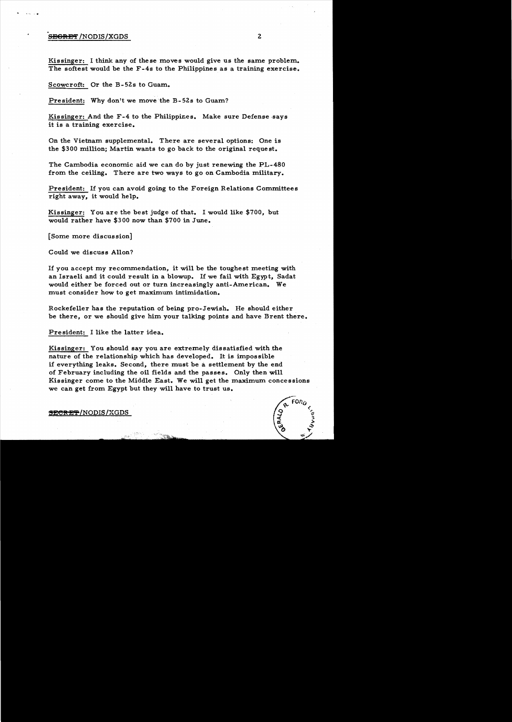## **SEGRET** /NODIS/XGDS 2

Kissinger: I think any of these moves would give us the same problem. The softest would be the F-4s to the Philippines as a training exercise.

Scowcroft: Or the B- 52s to Guam.

President: Why don't we move the B-52s to Guam?

Kissinger: And the F-4 to the Philippines. Make sure Defense ·says it is a training exercise.

On the Vietnam supplemental. There are several options: One is the \$300 million; Martin wants to go back to the original reque st.

The Cambodia economic aid we can do by just renewing the PL-480 from the ceiling. There are two ways to go on Cambodia military.

President: If you can avoid going to the Foreign Relations Committees right away, it would help.

Kissinger: You are the best judge of that. I would like \$700, but would rather have \$300 now than \$700 in June.

[Some more discussion]

Could we discuss Allon?

If you accept my recommendation, it will be the toughest meeting with an Israeli and it could result in a blowup. If we fail with Egypt, Sadat would either be forced out or turn increasingly anti-American. We must consider how to get maximum intimidation.

Rockefeller has the reputation of being pro-Jewish. He should either be there, or we should give him your talking points and have Brent there.

President: I like the latter idea.

Kissinger: You should say you are extremely dissatisfied with the nature of the relationship which has developed. It is impossible if everything leaks. Second, there must be a. settlement by the end of February including the oil fields and the passes. Only then will Kissinger come to the Middle East. We will get the maximum concessions we can get from Egypt but they will have to trust us.



SECRET/NODIS/XGDS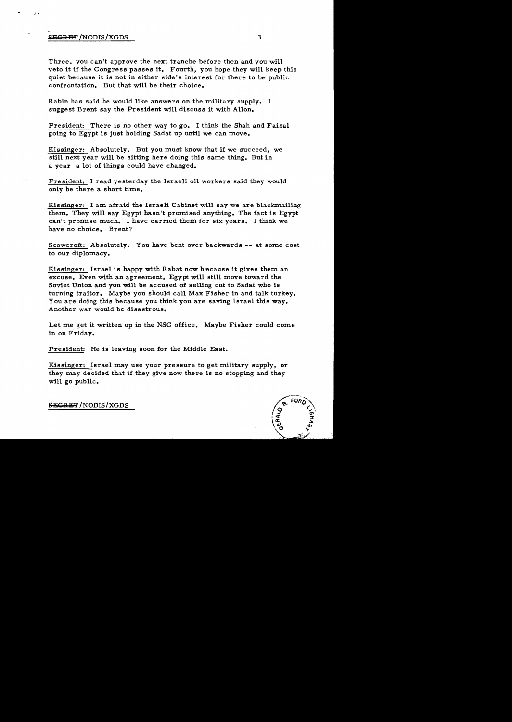# iiica is a second of the second second second second second second second second second second second second s

.. ~.

Three, you can't approve the next tranche before then and you will veto it if the Congress passes it. Fourth, you hope they will keep this quiet because it is not in either side's interest for there to be public confrontation. But that will be their choice.

Rabin has said he would like answers on the military supply. I suggest Brent say the President will discuss it with Allon.

President: There is no other way to go. I think the Shah and Faisal going to Egypt is just holding Sadat up until we can move.

Kissinger: Absolutely. But you must know that if we succeed, we still next year will be sitting here doing this same thing. But in a year a lot of things could have changed.

President: I read yesterday the Israeli oil workers said they would only be there a short time.

Kissinger: I am afraid the Israeli Cabinet will say we are blackmailing them. They will say Egypt hasn't promised anything. The fact is Egypt can't promise much. I have carried them for six years. I think we have no choice. Brent?

Scowcroft: Absolutely. You have bent over backwards -- at some cost to our diplomacy.

Kissinger: Israel is happy with Rabat now because it gives them an excuse. Even with an agreement, Egypt will still move toward the Soviet Union and you will be accused of selling out to Sadat who is turning traitor. Maybe you should call Max Fisher in and talk turkey. You are doing this because you think you are saving Israel this way. Another war would be disastrous.

Let me get it written up in the NSC office. Maybe Fisher could come in on Friday.

President: He is leaving soon for the Middle East.

Kissinger: Israel may use your pressure to get military supply, or they may decided that if they give now there is no stopping and they will go public.



SECRET/NODIS/XGDS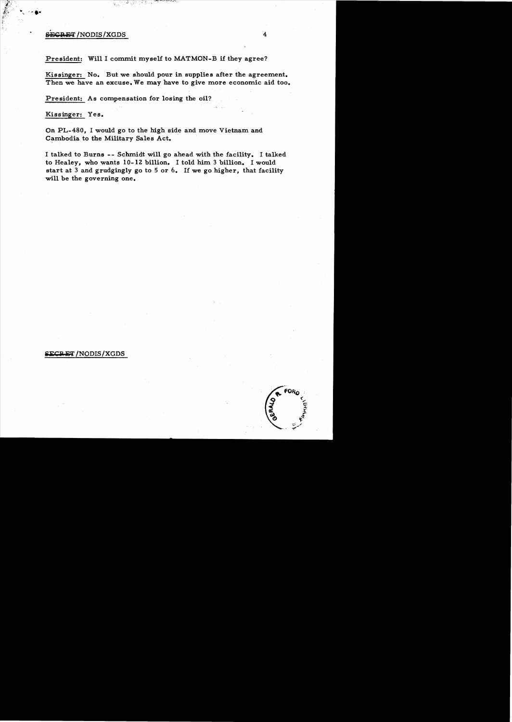## SEGRET /NODIS / XGDS 4

President: Wi1l I commit myself to MATMON-B if they agree?

Kissinger: No. But we should pour in supplies after the agreement. Then we have an excuse. We may have to give more economic aid too.

President: As compensation for losing the oil?

Kissinger: Yes.

On PL-480, I would go to the high side and move Vietnam and Cambodia to the Military Sales Act.

I talked to Burns - - Schmidt wi1l go ahead with the facility. I talked to Healey, who wants 10-1Z bi1lion. I told him 3 bi1lion. I would start at 3 and grudgingly go to 5 or 6. If we go higher, that facility wi1l be the governing one.

## **iECRET** / NODIS / XGDS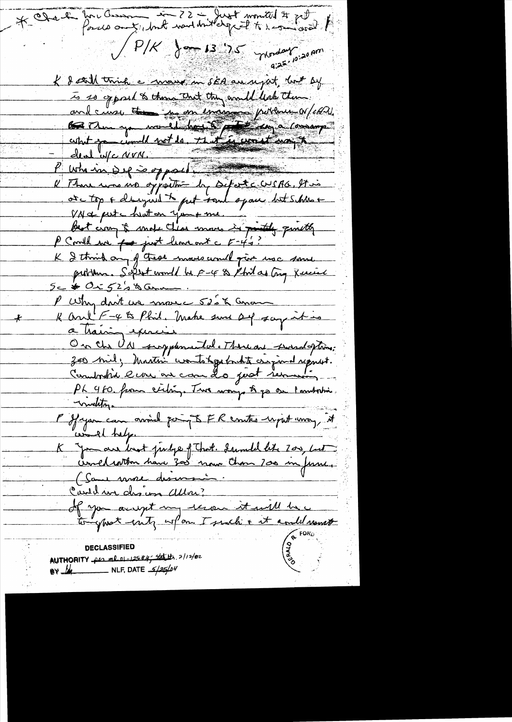\* Obel forces anti- to 22 - Just montal # pt  $\int P/K = \int_{\text{cm}} \int 3^{-1} 35 \int_{\text{m/sol}} \int 3^{10} 30 \text{ m}^3$ K & still think a mouse in sEA au reject, lost by is so opposed to those that they availed leak them and curse to me encourant pitters of et al.<br>
Contra you would have the post component R There was no opportune by Defect cous AG. It is ote top + changed to get tout space but shine + VNC pute huton you me Best croy à mot Clear mois in printly quitty K & think any of these moves avail poir use some P Why don't we make 52's & Concom K and F-4 to Phil. Make sure of say it is a haising exercise On the Ud surplemental. There are swindoftime:<br>300 mil, Master wonto toget that cripinal regard.<br>Countrylia ever are come do just remove .<br>Ph 460 form extry. Two ways to go on Immortion. muelity Moderni<br>l'Ifayan can avoire poing & FR contes upit avon, it world helper K Jamar brot pirage of That. Isandel like 200, but (Sans more descensions Cauldin des un Allon;<br>If you accept my terou it will be **DECLASSIFIED** AUTHORITY per ml 01-125#4; statuts 2/12/02 BY  $\frac{1}{4}$  NLF, DATE  $\frac{5}{25}$ /04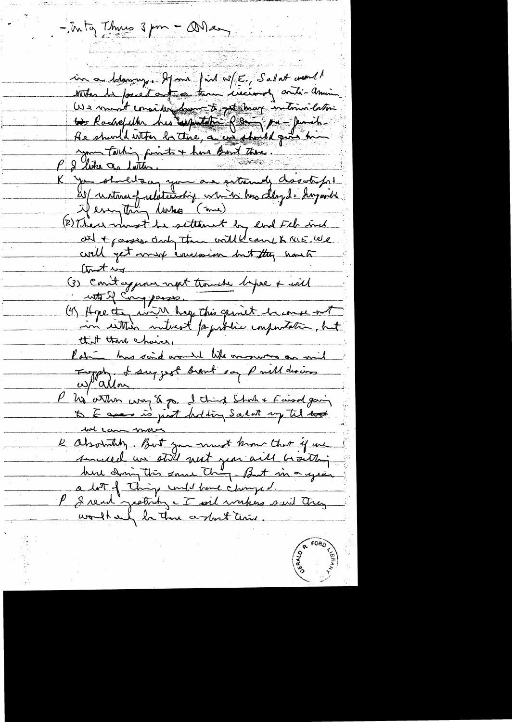- Inty This 3 pm - Onlay in a blamony. If me find wf E, Salat went!<br>with the fourest and a three circums onti-annim to Rachefeller his supertative Reamy pro- parais-He should with be three, a consideratel part him your fathing fronts + have Brout there. 2 like a latter. K you should any your are entremely dissolve fort if everything lakes (mme) (2) There wurst he settlement by lord Feb inch neumon momentaire could cant to the let  $\omega t \sim$ (3) Conitagement nont trouble before + with inter Comparer.<br>(4) Hope the win hop this quint him with that there choice, Potri has said would like on survey an will<br>Eugen et surgest surnt sa Paill desires w/"allon. he atthe way of go. I think Shoth & Faired gain in came more K absolutily. But you must know that if we sincelle un still most juni aill bisitting here doing this same they - But in a year a bot of thing und have changed. P I rend getting - I wil wakes said they

work and la Those centers there.

R FORD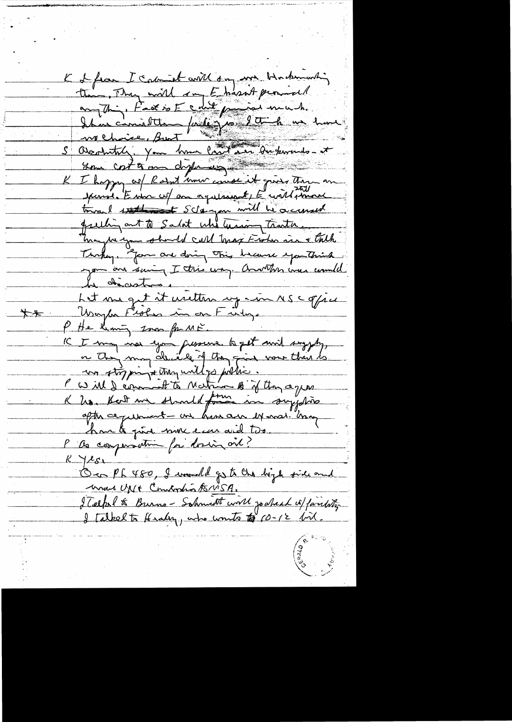K & from I coment with son me bindemanding the Thy will so Ehasit promisel<br>anything fact is E could promise much.<br>I have considered fact you look me have anne costa en dispuéces K I hoppy of Rosent univ course it gives there are janvier Entre cof au aquinant, E contéprime toward statement Schargon will be accounted quelling out to Salat who hearing tractice Maybe you should call that Fisher in a trich you are soing I this way. Another was could Le décestron la chacistra.<br>Let me qui it unitten ry mon NS c offici Wayber Fester in on Futy.  $+$ P He leaving some for ME. IC I may not you fressure to get mit suggety, or they may decide if they give your thin to. un storpingt they untlys potter.<br>I will dernet to Matrix Big they agen after ce perment - on have are example than har to give none ears and two. P as componentime for dosing one?  $R$   $4251$ On Ph 480, I would go to the bigh side and una UNI Combosto 15115A. ITelpel & Burns-Schmidt with jouhead of fairlyty I talked to Healing, who wonto to 10-12 bil.